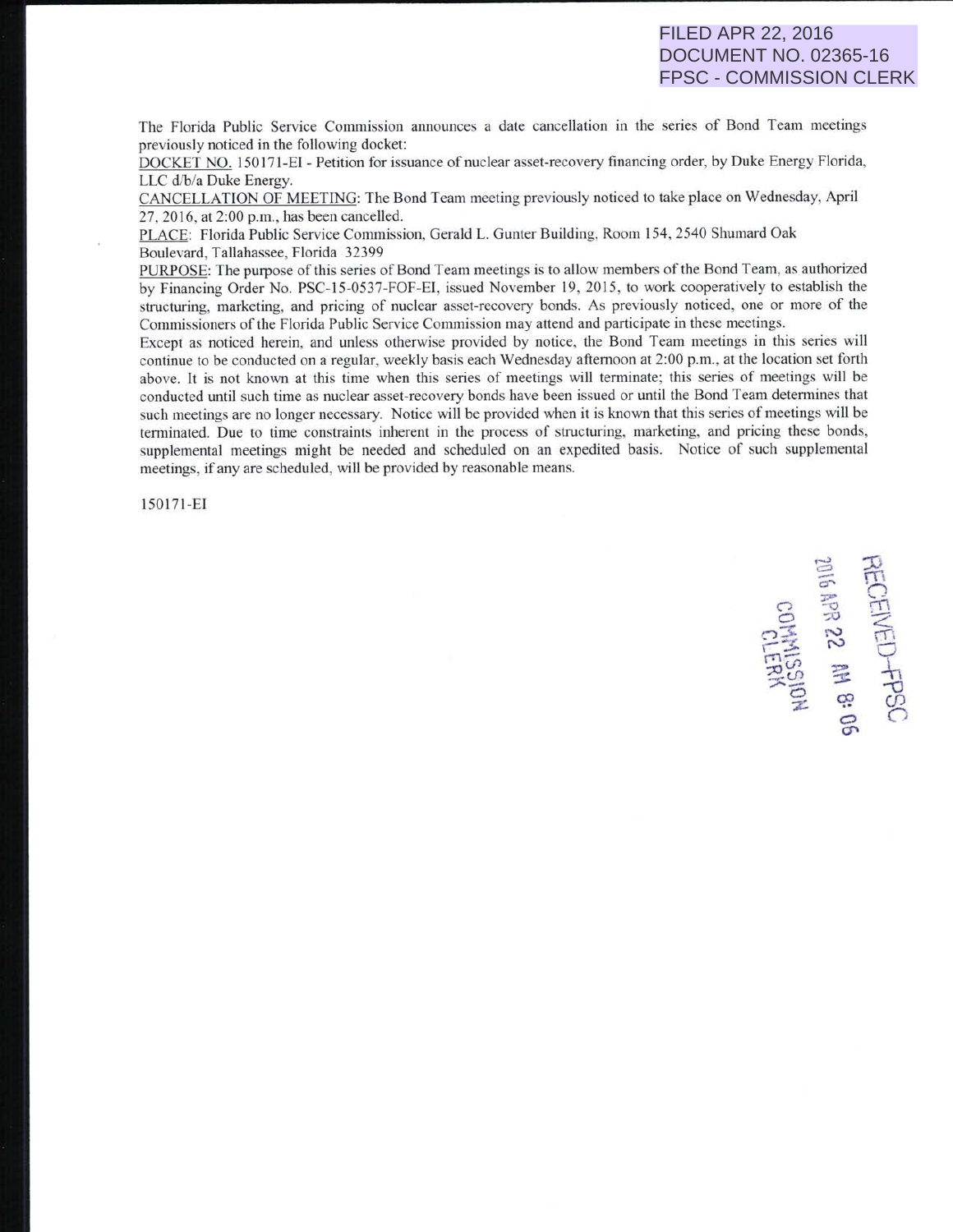## FILED APR 22, 2016 DOCUMENT NO. 02365-16 FPSC - COMMISSION CLERK

The Florida Public Service Commission announces a date cancellation in the series of Bond Team meetings previously noticed in the following docket:

DOCKET NO. 150171-EI - Petition for issuance of nuclear asset-recovery financing order, by Duke Energy Florida, LLC d/b/a Duke Energy.

CANCELLATION OF MEETING: The Bond Team meeting previously noticed to take place on Wednesday, April 27. 20 16. at 2:00 p.m., has been cancelled.

PLACE: Florida Public Service Commission, Gerald L. Gunter Building, Room 154,2540 Shumard Oak Boulevard, Tallahassee, Florida 32399

PURPOSE: The purpose of this series of Bond Team meetings is to allow members of the Bond Team, as authorized by Financing Order No. PSC-15-0537-FOF-EI. issued November 19, 2015, to work cooperatively to establish the structuring, marketing, and pricing of nuclear asset-recovery bonds. As previously noticed, one or more of the Commissioners of the Florida Public Service Commission may attend and participate in these meetings.

Except as noticed herein. and unless otherwise provided by notice, the Bond Team meetings in this series will continue to be conducted on a regular, weekly basis each Wednesday aftemoon at 2:00 p.m., at the location set forth above. lt is not known at this time when this series of meetings will terminate; this series of meetings will be conducted until such time as nuclear asset-recovery bonds have been issued or until the Bond Team determines that such meetings are no longer necessary. Notice will be provided when it is known that this series of meetings will be terminated. Due to time constraints inherent in the process of structuring, marketing, and pricing these bonds, supplemental meetings might be needed and scheduled on an expedited basis. Notice of such supplemental <sup>m</sup>eetings, if any are scheduled, will be provided by reasonable means.

15017 1-E1